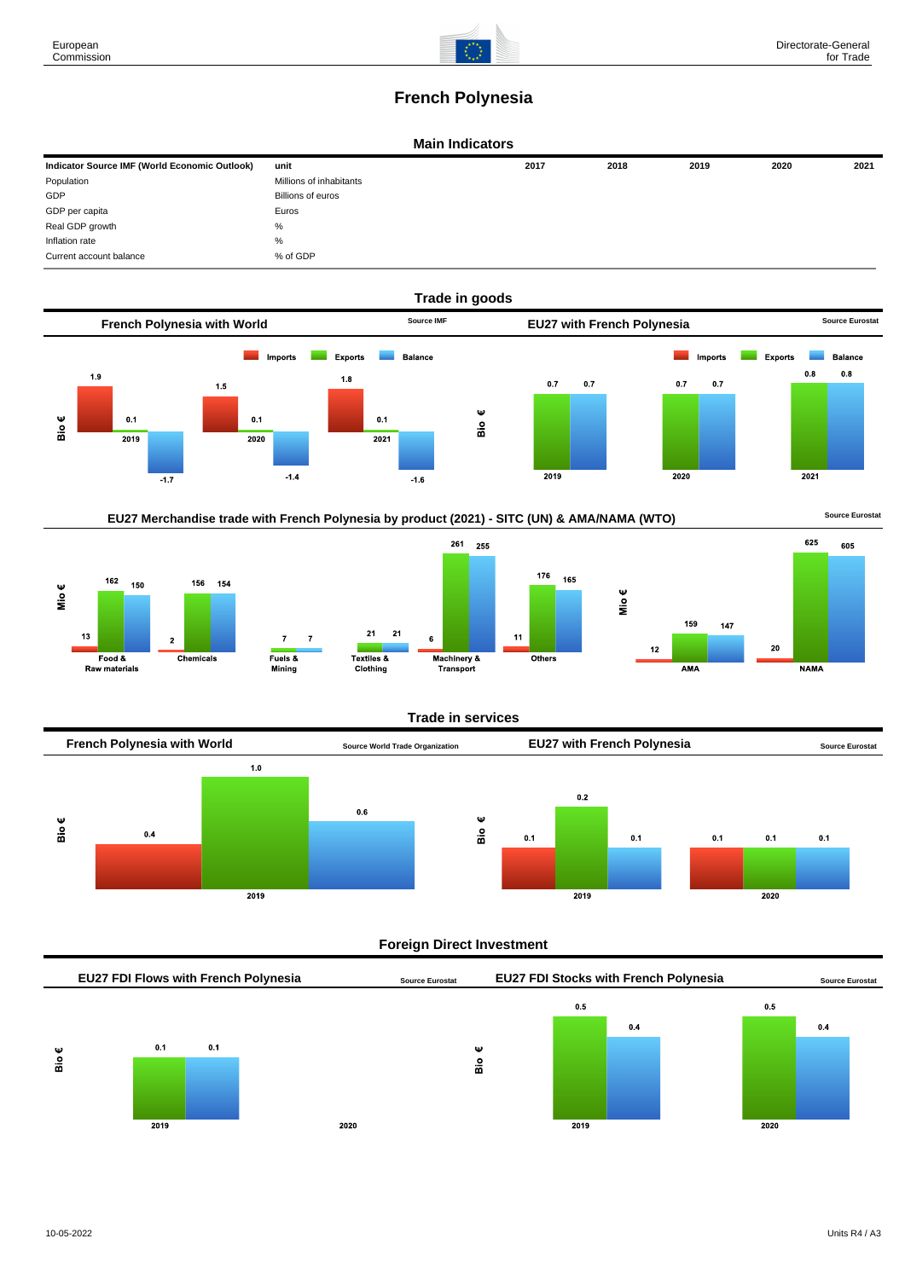

# **French Polynesia**

#### **Main Indicators**

| Indicator Source IMF (World Economic Outlook) | unit                    | 2017 | 2018 | 2019 | 2020 | 2021 |
|-----------------------------------------------|-------------------------|------|------|------|------|------|
| Population                                    | Millions of inhabitants |      |      |      |      |      |
| GDP                                           | Billions of euros       |      |      |      |      |      |
| GDP per capita                                | Euros                   |      |      |      |      |      |
| Real GDP growth                               | %                       |      |      |      |      |      |
| Inflation rate                                | %                       |      |      |      |      |      |
| Current account balance                       | % of GDP                |      |      |      |      |      |











#### **Trade in services**

 $11$ 



## **Foreign Direct Investment**